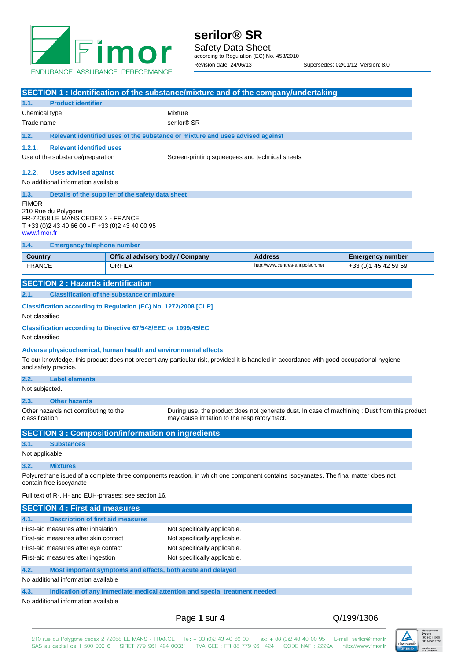

|                                                                    | SECTION 1: Identification of the substance/mixture and of the company/undertaking                                                                                                                           |                                                                                                 |                                                  |
|--------------------------------------------------------------------|-------------------------------------------------------------------------------------------------------------------------------------------------------------------------------------------------------------|-------------------------------------------------------------------------------------------------|--------------------------------------------------|
| 1.1.<br><b>Product identifier</b>                                  |                                                                                                                                                                                                             |                                                                                                 |                                                  |
| Chemical type                                                      | : Mixture                                                                                                                                                                                                   |                                                                                                 |                                                  |
| Trade name                                                         | serilor <sup>®</sup> SR                                                                                                                                                                                     |                                                                                                 |                                                  |
| 1.2.                                                               | Relevant identified uses of the substance or mixture and uses advised against                                                                                                                               |                                                                                                 |                                                  |
| 1.2.1.<br><b>Relevant identified uses</b>                          |                                                                                                                                                                                                             |                                                                                                 |                                                  |
| Use of the substance/preparation                                   |                                                                                                                                                                                                             | : Screen-printing squeegees and technical sheets                                                |                                                  |
| 1.2.2.                                                             |                                                                                                                                                                                                             |                                                                                                 |                                                  |
| <b>Uses advised against</b><br>No additional information available |                                                                                                                                                                                                             |                                                                                                 |                                                  |
|                                                                    |                                                                                                                                                                                                             |                                                                                                 |                                                  |
| 1.3.<br>FIMOR                                                      | Details of the supplier of the safety data sheet                                                                                                                                                            |                                                                                                 |                                                  |
| 210 Rue du Polygone                                                |                                                                                                                                                                                                             |                                                                                                 |                                                  |
| FR-72058 LE MANS CEDEX 2 - FRANCE                                  |                                                                                                                                                                                                             |                                                                                                 |                                                  |
| T +33 (0)2 43 40 66 00 - F +33 (0)2 43 40 00 95<br>www.fimor.fr    |                                                                                                                                                                                                             |                                                                                                 |                                                  |
| 1.4.<br><b>Emergency telephone number</b>                          |                                                                                                                                                                                                             |                                                                                                 |                                                  |
|                                                                    |                                                                                                                                                                                                             |                                                                                                 |                                                  |
| <b>Country</b><br><b>FRANCE</b>                                    | Official advisory body / Company<br>ORFILA                                                                                                                                                                  | <b>Address</b><br>http://www.centres-antipoison.net                                             | <b>Emergency number</b><br>+33 (0) 1 45 42 59 59 |
|                                                                    |                                                                                                                                                                                                             |                                                                                                 |                                                  |
| <b>SECTION 2: Hazards identification</b>                           |                                                                                                                                                                                                             |                                                                                                 |                                                  |
| 2.1.                                                               | <b>Classification of the substance or mixture</b>                                                                                                                                                           |                                                                                                 |                                                  |
|                                                                    | Classification according to Regulation (EC) No. 1272/2008 [CLP]                                                                                                                                             |                                                                                                 |                                                  |
| Not classified                                                     |                                                                                                                                                                                                             |                                                                                                 |                                                  |
|                                                                    | <b>Classification according to Directive 67/548/EEC or 1999/45/EC</b>                                                                                                                                       |                                                                                                 |                                                  |
| Not classified                                                     |                                                                                                                                                                                                             |                                                                                                 |                                                  |
|                                                                    |                                                                                                                                                                                                             |                                                                                                 |                                                  |
|                                                                    | Adverse physicochemical, human health and environmental effects<br>To our knowledge, this product does not present any particular risk, provided it is handled in accordance with good occupational hygiene |                                                                                                 |                                                  |
| and safety practice.                                               |                                                                                                                                                                                                             |                                                                                                 |                                                  |
| 2.2.<br><b>Label elements</b>                                      |                                                                                                                                                                                                             |                                                                                                 |                                                  |
| Not subjected.                                                     |                                                                                                                                                                                                             |                                                                                                 |                                                  |
| <b>Other hazards</b><br>2.3.                                       |                                                                                                                                                                                                             |                                                                                                 |                                                  |
| Other hazards not contributing to the                              |                                                                                                                                                                                                             | : During use, the product does not generate dust. In case of machining : Dust from this product |                                                  |
| classification                                                     | may cause irritation to the respiratory tract.                                                                                                                                                              |                                                                                                 |                                                  |
|                                                                    |                                                                                                                                                                                                             |                                                                                                 |                                                  |
| 3.1.<br><b>Substances</b>                                          | <b>SECTION 3 : Composition/information on ingredients</b>                                                                                                                                                   |                                                                                                 |                                                  |
| Not applicable                                                     |                                                                                                                                                                                                             |                                                                                                 |                                                  |
|                                                                    |                                                                                                                                                                                                             |                                                                                                 |                                                  |
| 3.2.<br><b>Mixtures</b>                                            |                                                                                                                                                                                                             |                                                                                                 |                                                  |
| contain free isocyanate                                            | Polyurethane isued of a complete three components reaction, in which one component contains isocyanates. The final matter does not                                                                          |                                                                                                 |                                                  |
| Full text of R-, H- and EUH-phrases: see section 16.               |                                                                                                                                                                                                             |                                                                                                 |                                                  |
|                                                                    |                                                                                                                                                                                                             |                                                                                                 |                                                  |
| <b>SECTION 4: First aid measures</b>                               |                                                                                                                                                                                                             |                                                                                                 |                                                  |
| 4.1.<br><b>Description of first aid measures</b>                   |                                                                                                                                                                                                             |                                                                                                 |                                                  |
| First-aid measures after inhalation                                | : Not specifically applicable.                                                                                                                                                                              |                                                                                                 |                                                  |
| First-aid measures after skin contact                              | : Not specifically applicable.                                                                                                                                                                              |                                                                                                 |                                                  |
| First-aid measures after eye contact                               | : Not specifically applicable.                                                                                                                                                                              |                                                                                                 |                                                  |
| First-aid measures after ingestion                                 | : Not specifically applicable.                                                                                                                                                                              |                                                                                                 |                                                  |
| 4.2.                                                               | Most important symptoms and effects, both acute and delayed                                                                                                                                                 |                                                                                                 |                                                  |
| No additional information available                                |                                                                                                                                                                                                             |                                                                                                 |                                                  |
| 4.3.                                                               | Indication of any immediate medical attention and special treatment needed                                                                                                                                  |                                                                                                 |                                                  |
| No additional information available                                |                                                                                                                                                                                                             |                                                                                                 |                                                  |
|                                                                    |                                                                                                                                                                                                             |                                                                                                 | Q/199/1306                                       |
|                                                                    | Page 1 sur 4                                                                                                                                                                                                |                                                                                                 |                                                  |

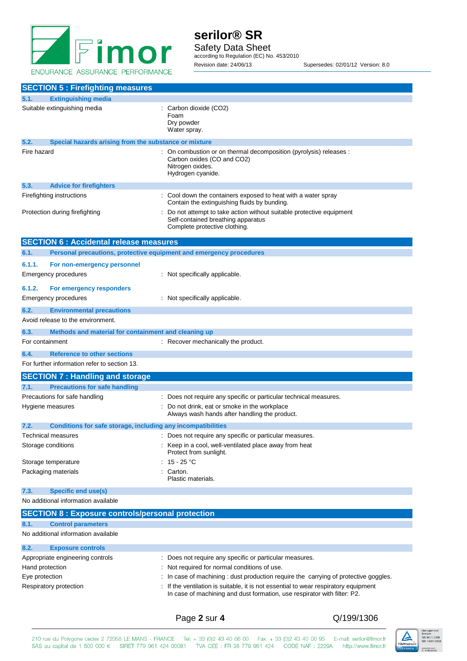

**serilor® SR** Safety Data Sheet according to Regulation (EC) No. 453/2010 Revision date: 24/06/13 Supersedes: 02/01/12 Version: 8.0

|                                                                                                                                                                                           | <b>SECTION 5 : Firefighting measures</b>                                                                                |                                                                                                                                            |
|-------------------------------------------------------------------------------------------------------------------------------------------------------------------------------------------|-------------------------------------------------------------------------------------------------------------------------|--------------------------------------------------------------------------------------------------------------------------------------------|
| 5.1.                                                                                                                                                                                      | <b>Extinguishing media</b>                                                                                              |                                                                                                                                            |
|                                                                                                                                                                                           | Suitable extinguishing media                                                                                            | : Carbon dioxide (CO2)<br>Foam<br>Dry powder<br>Water spray.                                                                               |
| 5.2.                                                                                                                                                                                      | Special hazards arising from the substance or mixture                                                                   |                                                                                                                                            |
| Fire hazard                                                                                                                                                                               |                                                                                                                         | : On combustion or on thermal decomposition (pyrolysis) releases :<br>Carbon oxides (CO and CO2)<br>Nitrogen oxides.<br>Hydrogen cyanide.  |
| 5.3.                                                                                                                                                                                      | <b>Advice for firefighters</b>                                                                                          |                                                                                                                                            |
| Firefighting instructions                                                                                                                                                                 |                                                                                                                         | : Cool down the containers exposed to heat with a water spray<br>Contain the extinguishing fluids by bunding.                              |
|                                                                                                                                                                                           | Protection during firefighting                                                                                          | Do not attempt to take action without suitable protective equipment<br>Self-contained breathing apparatus<br>Complete protective clothing. |
|                                                                                                                                                                                           | <b>SECTION 6 : Accidental release measures</b>                                                                          |                                                                                                                                            |
| 6.1.                                                                                                                                                                                      | Personal precautions, protective equipment and emergency procedures                                                     |                                                                                                                                            |
| 6.1.1.                                                                                                                                                                                    | For non-emergency personnel                                                                                             |                                                                                                                                            |
|                                                                                                                                                                                           | Emergency procedures                                                                                                    | : Not specifically applicable.                                                                                                             |
| 6.1.2.                                                                                                                                                                                    | For emergency responders                                                                                                |                                                                                                                                            |
|                                                                                                                                                                                           | <b>Emergency procedures</b>                                                                                             | : Not specifically applicable.                                                                                                             |
| 6.2.                                                                                                                                                                                      | <b>Environmental precautions</b><br>Avoid release to the environment.                                                   |                                                                                                                                            |
| 6.3.                                                                                                                                                                                      | Methods and material for containment and cleaning up                                                                    |                                                                                                                                            |
| For containment                                                                                                                                                                           |                                                                                                                         | : Recover mechanically the product.                                                                                                        |
| 6.4.                                                                                                                                                                                      | <b>Reference to other sections</b><br>For further information refer to section 13.                                      |                                                                                                                                            |
|                                                                                                                                                                                           | <b>SECTION 7: Handling and storage</b>                                                                                  |                                                                                                                                            |
| 7.1.                                                                                                                                                                                      | <b>Precautions for safe handling</b>                                                                                    |                                                                                                                                            |
|                                                                                                                                                                                           | Precautions for safe handling                                                                                           | : Does not require any specific or particular technical measures.                                                                          |
| Hygiene measures                                                                                                                                                                          |                                                                                                                         | : Do not drink, eat or smoke in the workplace<br>Always wash hands after handling the product.                                             |
| 7.2.                                                                                                                                                                                      | Conditions for safe storage, including any incompatibilities                                                            |                                                                                                                                            |
| <b>Technical measures</b>                                                                                                                                                                 |                                                                                                                         | Does not require any specific or particular measures.                                                                                      |
| Storage conditions                                                                                                                                                                        |                                                                                                                         | Keep in a cool, well-ventilated place away from heat<br>Protect from sunlight.                                                             |
|                                                                                                                                                                                           | Storage temperature                                                                                                     | : 15 - 25 °C                                                                                                                               |
| Packaging materials                                                                                                                                                                       |                                                                                                                         | Carton.<br>Plastic materials.                                                                                                              |
| 7.3.                                                                                                                                                                                      | <b>Specific end use(s)</b>                                                                                              |                                                                                                                                            |
|                                                                                                                                                                                           | No additional information available                                                                                     |                                                                                                                                            |
|                                                                                                                                                                                           | <b>SECTION 8: Exposure controls/personal protection</b>                                                                 |                                                                                                                                            |
| 8.1.                                                                                                                                                                                      | <b>Control parameters</b><br>No additional information available                                                        |                                                                                                                                            |
| 8.2.                                                                                                                                                                                      |                                                                                                                         |                                                                                                                                            |
|                                                                                                                                                                                           | <b>Exposure controls</b><br>Appropriate engineering controls<br>: Does not require any specific or particular measures. |                                                                                                                                            |
| Hand protection                                                                                                                                                                           |                                                                                                                         | : Not required for normal conditions of use.                                                                                               |
| Eye protection                                                                                                                                                                            |                                                                                                                         | In case of machining : dust production require the carrying of protective goggles.                                                         |
| : If the ventilation is suitable, it is not essential to wear respiratory equipment<br>Respiratory protection<br>In case of machining and dust formation, use respirator with filter: P2. |                                                                                                                         |                                                                                                                                            |
|                                                                                                                                                                                           |                                                                                                                         |                                                                                                                                            |

## Page **2** sur **4** Q/199/1306

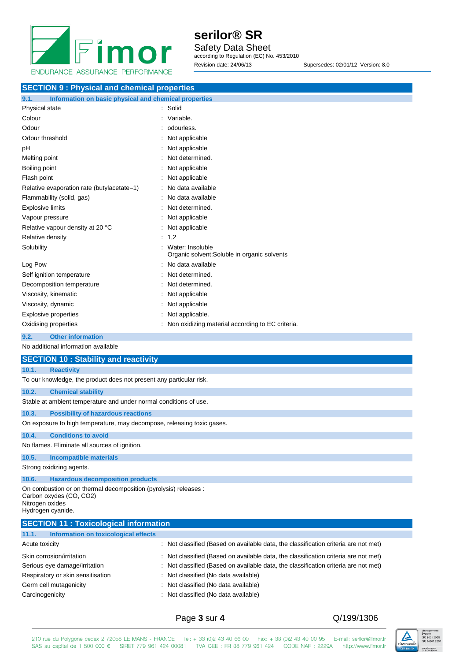

**serilor® SR** Safety Data Sheet according to Regulation (EC) No. 453/2010 Revision date: 24/06/13 Supersedes: 02/01/12 Version: 8.0

| <b>SECTION 9: Physical and chemical properties</b>            |                                                                  |  |
|---------------------------------------------------------------|------------------------------------------------------------------|--|
| 9.1.<br>Information on basic physical and chemical properties |                                                                  |  |
| Physical state                                                | : Solid                                                          |  |
| Colour                                                        | Variable.                                                        |  |
| Odour                                                         | odourless.                                                       |  |
| Odour threshold                                               | Not applicable                                                   |  |
| рH                                                            | Not applicable                                                   |  |
| Melting point                                                 | Not determined.                                                  |  |
| Boiling point                                                 | Not applicable                                                   |  |
| Flash point                                                   | Not applicable                                                   |  |
| Relative evaporation rate (butylacetate=1)                    | No data available                                                |  |
| Flammability (solid, gas)                                     | No data available                                                |  |
| <b>Explosive limits</b>                                       | Not determined.                                                  |  |
| Vapour pressure                                               | Not applicable                                                   |  |
| Relative vapour density at 20 °C                              | Not applicable                                                   |  |
| Relative density                                              | 1,2                                                              |  |
| Solubility                                                    | Water: Insoluble<br>Organic solvent: Soluble in organic solvents |  |
| Log Pow                                                       | No data available                                                |  |
| Self ignition temperature                                     | Not determined.                                                  |  |
| Decomposition temperature                                     | Not determined.                                                  |  |
| Viscosity, kinematic                                          | Not applicable                                                   |  |
| Viscosity, dynamic                                            | Not applicable                                                   |  |
| <b>Explosive properties</b>                                   | Not applicable.                                                  |  |
| Oxidising properties                                          | Non oxidizing material according to EC criteria.                 |  |

### **9.2. Other information**

No additional information available

| <b>SECTION 10: Stability and reactivity</b>                                                                               |                                                                                                                                                                                                                                                      |  |  |
|---------------------------------------------------------------------------------------------------------------------------|------------------------------------------------------------------------------------------------------------------------------------------------------------------------------------------------------------------------------------------------------|--|--|
| 10.1.<br><b>Reactivity</b>                                                                                                |                                                                                                                                                                                                                                                      |  |  |
|                                                                                                                           | To our knowledge, the product does not present any particular risk.                                                                                                                                                                                  |  |  |
| 10.2.                                                                                                                     | <b>Chemical stability</b>                                                                                                                                                                                                                            |  |  |
|                                                                                                                           | Stable at ambient temperature and under normal conditions of use.                                                                                                                                                                                    |  |  |
| 10.3.                                                                                                                     | <b>Possibility of hazardous reactions</b>                                                                                                                                                                                                            |  |  |
|                                                                                                                           | On exposure to high temperature, may decompose, releasing toxic gases.                                                                                                                                                                               |  |  |
| 10.4.<br><b>Conditions to avoid</b>                                                                                       |                                                                                                                                                                                                                                                      |  |  |
| No flames. Eliminate all sources of ignition.                                                                             |                                                                                                                                                                                                                                                      |  |  |
| 10.5.<br><b>Incompatible materials</b>                                                                                    |                                                                                                                                                                                                                                                      |  |  |
| Strong oxidizing agents.                                                                                                  |                                                                                                                                                                                                                                                      |  |  |
| 10.6.                                                                                                                     | <b>Hazardous decomposition products</b>                                                                                                                                                                                                              |  |  |
| Carbon oxydes (CO, CO2)<br>Nitrogen oxides<br>Hydrogen cyanide.                                                           | On combustion or on thermal decomposition (pyrolysis) releases :                                                                                                                                                                                     |  |  |
|                                                                                                                           | <b>SECTION 11 : Toxicological information</b>                                                                                                                                                                                                        |  |  |
| 11.1.                                                                                                                     | Information on toxicological effects                                                                                                                                                                                                                 |  |  |
| Acute toxicity                                                                                                            | : Not classified (Based on available data, the classification criteria are not met)                                                                                                                                                                  |  |  |
| Skin corrosion/irritation<br>Serious eye damage/irritation<br>Respiratory or skin sensitisation<br>Germ cell mutagenicity | : Not classified (Based on available data, the classification criteria are not met)<br>Not classified (Based on available data, the classification criteria are not met)<br>Not classified (No data available)<br>Not classified (No data available) |  |  |

Carcinogenicity **Carcinogenicity** : Not classified (No data available)

Page **3** sur **4** Q/199/1306